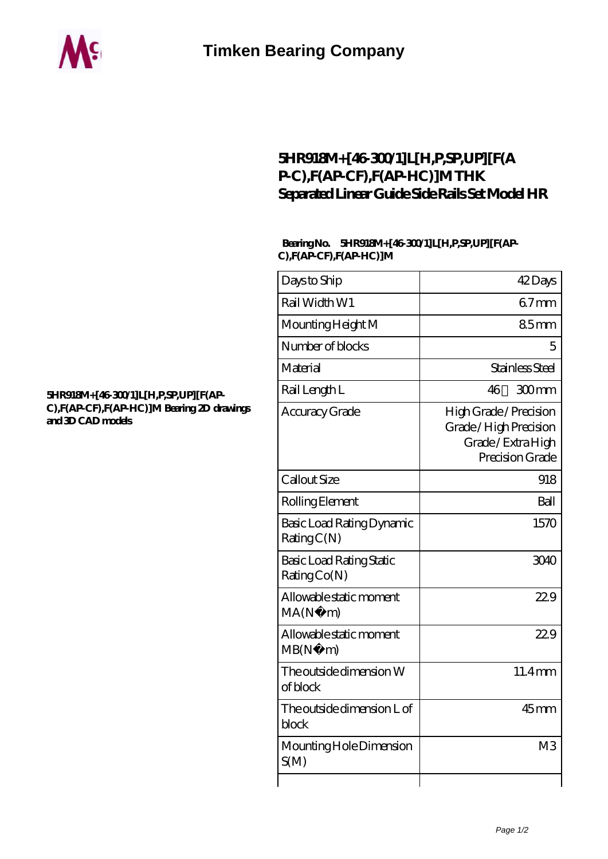

## **[5HR918M+\[46-300/1\]L\[H,P,SP,UP\]\[F\(A](https://cynthiadoggett.com/thk-linear-guide/5hr918m-46-300-1-l-h-p-sp-up-f-ap-c-f-ap-cf-f-ap-hc-m.html) [P-C\),F\(AP-CF\),F\(AP-HC\)\]M THK](https://cynthiadoggett.com/thk-linear-guide/5hr918m-46-300-1-l-h-p-sp-up-f-ap-c-f-ap-cf-f-ap-hc-m.html) [Separated Linear Guide Side Rails Set Model HR](https://cynthiadoggett.com/thk-linear-guide/5hr918m-46-300-1-l-h-p-sp-up-f-ap-c-f-ap-cf-f-ap-hc-m.html)**

## **Bearing No. 5HR918M+[46-300/1]L[H,P,SP,UP][F(AP-C),F(AP-CF),F(AP-HC)]M**

| Days to Ship                                    | 42Days                                                                                |
|-------------------------------------------------|---------------------------------------------------------------------------------------|
| Rail Width W1                                   | $67$ mm                                                                               |
| Mounting Height M                               | 85mm                                                                                  |
| Number of blocks                                | 5                                                                                     |
| Material                                        | Stainless Steel                                                                       |
| Rail Length L                                   | 46<br>300mm                                                                           |
| Accuracy Grade                                  | High Grade / Precision<br>Grade/High Precision<br>Grade/Extra High<br>Precision Grade |
| Callout Size                                    | 918                                                                                   |
| Rolling Element                                 | Ball                                                                                  |
| Basic Load Rating Dynamic<br>RatingC(N)         | 1570                                                                                  |
| <b>Basic Load Rating Static</b><br>Rating Co(N) | 3040                                                                                  |
| Allowable static moment<br>MA(N·)<br>m)         | 22.9                                                                                  |
| Allowable static moment<br>MB(N.<br>m           | 229                                                                                   |
| The outside dimension W<br>of block             | 11.4mm                                                                                |
| The outside dimension L of<br>block             | $45$ mm                                                                               |
| Mounting Hole Dimension<br>S(M)                 | M <sub>3</sub>                                                                        |
|                                                 |                                                                                       |

## **[5HR918M+\[46-300/1\]L\[H,P,SP,UP\]\[F\(AP-](https://cynthiadoggett.com/pic-1001465.html)[C\),F\(AP-CF\),F\(AP-HC\)\]M Bearing 2D drawings](https://cynthiadoggett.com/pic-1001465.html) [and 3D CAD models](https://cynthiadoggett.com/pic-1001465.html)**